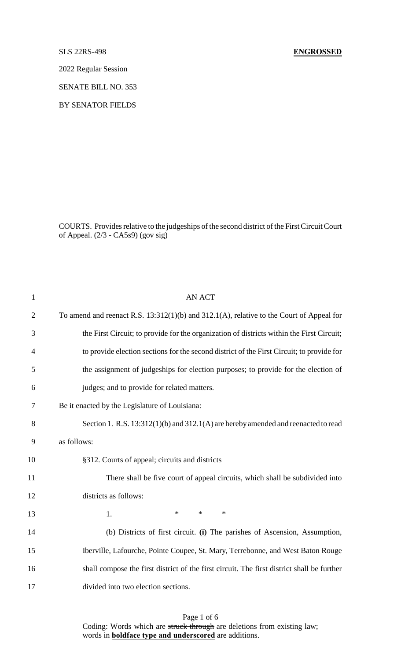#### SLS 22RS-498 **ENGROSSED**

2022 Regular Session

SENATE BILL NO. 353

BY SENATOR FIELDS

COURTS. Provides relative to the judgeships of the second district of the First Circuit Court of Appeal. (2/3 - CA5s9) (gov sig)

| $\mathbf{1}$   | <b>AN ACT</b>                                                                                 |
|----------------|-----------------------------------------------------------------------------------------------|
| $\overline{2}$ | To amend and reenact R.S. $13:312(1)(b)$ and $312.1(A)$ , relative to the Court of Appeal for |
| 3              | the First Circuit; to provide for the organization of districts within the First Circuit;     |
| $\overline{4}$ | to provide election sections for the second district of the First Circuit; to provide for     |
| 5              | the assignment of judgeships for election purposes; to provide for the election of            |
| 6              | judges; and to provide for related matters.                                                   |
| 7              | Be it enacted by the Legislature of Louisiana:                                                |
| 8              | Section 1. R.S. 13:312(1)(b) and 312.1(A) are hereby amended and reenacted to read            |
| 9              | as follows:                                                                                   |
| 10             | §312. Courts of appeal; circuits and districts                                                |
| 11             | There shall be five court of appeal circuits, which shall be subdivided into                  |
| 12             | districts as follows:                                                                         |
| 13             | $\ast$<br>$\ast$<br>$\ast$<br>1.                                                              |
| 14             | (b) Districts of first circuit. (i) The parishes of Ascension, Assumption,                    |
| 15             | Iberville, Lafourche, Pointe Coupee, St. Mary, Terrebonne, and West Baton Rouge               |
| 16             | shall compose the first district of the first circuit. The first district shall be further    |
| 17             | divided into two election sections.                                                           |
|                |                                                                                               |

Page 1 of 6 Coding: Words which are struck through are deletions from existing law; words in **boldface type and underscored** are additions.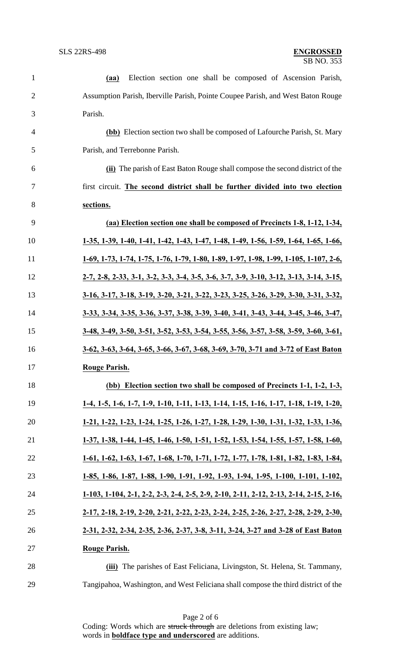| $\mathbf{1}$   | Election section one shall be composed of Ascension Parish,<br>(aa)                         |
|----------------|---------------------------------------------------------------------------------------------|
| $\overline{2}$ | Assumption Parish, Iberville Parish, Pointe Coupee Parish, and West Baton Rouge             |
| 3              | Parish.                                                                                     |
| $\overline{4}$ | (bb) Election section two shall be composed of Lafourche Parish, St. Mary                   |
| 5              | Parish, and Terrebonne Parish.                                                              |
| 6              | (ii) The parish of East Baton Rouge shall compose the second district of the                |
| 7              | first circuit. The second district shall be further divided into two election               |
| 8              | sections.                                                                                   |
| 9              | (aa) Election section one shall be composed of Precincts 1-8, 1-12, 1-34,                   |
| 10             | 1-35, 1-39, 1-40, 1-41, 1-42, 1-43, 1-47, 1-48, 1-49, 1-56, 1-59, 1-64, 1-65, 1-66,         |
| 11             | 1-69, 1-73, 1-74, 1-75, 1-76, 1-79, 1-80, 1-89, 1-97, 1-98, 1-99, 1-105, 1-107, 2-6,        |
| 12             | $2-7, 2-8, 2-33, 3-1, 3-2, 3-3, 3-4, 3-5, 3-6, 3-7, 3-9, 3-10, 3-12, 3-13, 3-14, 3-15,$     |
| 13             | <u>3-16, 3-17, 3-18, 3-19, 3-20, 3-21, 3-22, 3-23, 3-25, 3-26, 3-29, 3-30, 3-31, 3-32, </u> |
| 14             | 3-33, 3-34, 3-35, 3-36, 3-37, 3-38, 3-39, 3-40, 3-41, 3-43, 3-44, 3-45, 3-46, 3-47,         |
| 15             | 3-48, 3-49, 3-50, 3-51, 3-52, 3-53, 3-54, 3-55, 3-56, 3-57, 3-58, 3-59, 3-60, 3-61,         |
| 16             | 3-62, 3-63, 3-64, 3-65, 3-66, 3-67, 3-68, 3-69, 3-70, 3-71 and 3-72 of East Baton           |
| 17             | <b>Rouge Parish.</b>                                                                        |
| 18             | (bb) Election section two shall be composed of Precincts 1-1, 1-2, 1-3,                     |
| 19             | 1-4, 1-5, 1-6, 1-7, 1-9, 1-10, 1-11, 1-13, 1-14, 1-15, 1-16, 1-17, 1-18, 1-19, 1-20,        |
| 20             | 1-21, 1-22, 1-23, 1-24, 1-25, 1-26, 1-27, 1-28, 1-29, 1-30, 1-31, 1-32, 1-33, 1-36,         |
| 21             | 1-37, 1-38, 1-44, 1-45, 1-46, 1-50, 1-51, 1-52, 1-53, 1-54, 1-55, 1-57, 1-58, 1-60,         |
| 22             | 1-61, 1-62, 1-63, 1-67, 1-68, 1-70, 1-71, 1-72, 1-77, 1-78, 1-81, 1-82, 1-83, 1-84,         |
| 23             | 1-85, 1-86, 1-87, 1-88, 1-90, 1-91, 1-92, 1-93, 1-94, 1-95, 1-100, 1-101, 1-102,            |
| 24             | 1-103, 1-104, 2-1, 2-2, 2-3, 2-4, 2-5, 2-9, 2-10, 2-11, 2-12, 2-13, 2-14, 2-15, 2-16,       |
| 25             | 2-17, 2-18, 2-19, 2-20, 2-21, 2-22, 2-23, 2-24, 2-25, 2-26, 2-27, 2-28, 2-29, 2-30,         |
| 26             | 2-31, 2-32, 2-34, 2-35, 2-36, 2-37, 3-8, 3-11, 3-24, 3-27 and 3-28 of East Baton            |
| 27             | <b>Rouge Parish.</b>                                                                        |
| 28             | (iii) The parishes of East Feliciana, Livingston, St. Helena, St. Tammany,                  |
| 29             | Tangipahoa, Washington, and West Feliciana shall compose the third district of the          |

Page 2 of 6 Coding: Words which are struck through are deletions from existing law; words in **boldface type and underscored** are additions.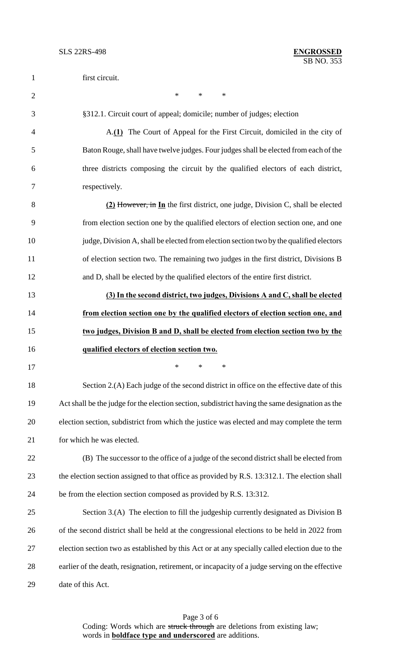| $\mathbf{1}$   | first circuit.                                                                                   |
|----------------|--------------------------------------------------------------------------------------------------|
| $\overline{2}$ | $\ast$<br>$\ast$<br>$\ast$                                                                       |
| 3              | §312.1. Circuit court of appeal; domicile; number of judges; election                            |
| 4              | A.(1) The Court of Appeal for the First Circuit, domiciled in the city of                        |
| 5              | Baton Rouge, shall have twelve judges. Four judges shall be elected from each of the             |
| 6              | three districts composing the circuit by the qualified electors of each district,                |
| 7              | respectively.                                                                                    |
| 8              | (2) However, in In the first district, one judge, Division C, shall be elected                   |
| 9              | from election section one by the qualified electors of election section one, and one             |
| 10             | judge, Division A, shall be elected from election section two by the qualified electors          |
| 11             | of election section two. The remaining two judges in the first district, Divisions B             |
| 12             | and D, shall be elected by the qualified electors of the entire first district.                  |
| 13             | (3) In the second district, two judges, Divisions A and C, shall be elected                      |
| 14             | from election section one by the qualified electors of election section one, and                 |
| 15             | two judges, Division B and D, shall be elected from election section two by the                  |
| 16             | qualified electors of election section two.                                                      |
| 17             | ∗                                                                                                |
| 18             | Section 2.(A) Each judge of the second district in office on the effective date of this          |
| 19             | Act shall be the judge for the election section, subdistrict having the same designation as the  |
| 20             | election section, subdistrict from which the justice was elected and may complete the term       |
| 21             | for which he was elected.                                                                        |
| 22             | (B) The successor to the office of a judge of the second district shall be elected from          |
| 23             | the election section assigned to that office as provided by R.S. 13:312.1. The election shall    |
| 24             | be from the election section composed as provided by R.S. 13:312.                                |
| 25             | Section 3.(A) The election to fill the judgeship currently designated as Division B              |
| 26             | of the second district shall be held at the congressional elections to be held in 2022 from      |
| 27             | election section two as established by this Act or at any specially called election due to the   |
| 28             | earlier of the death, resignation, retirement, or incapacity of a judge serving on the effective |
| 29             | date of this Act.                                                                                |

Page 3 of 6 Coding: Words which are struck through are deletions from existing law; words in **boldface type and underscored** are additions.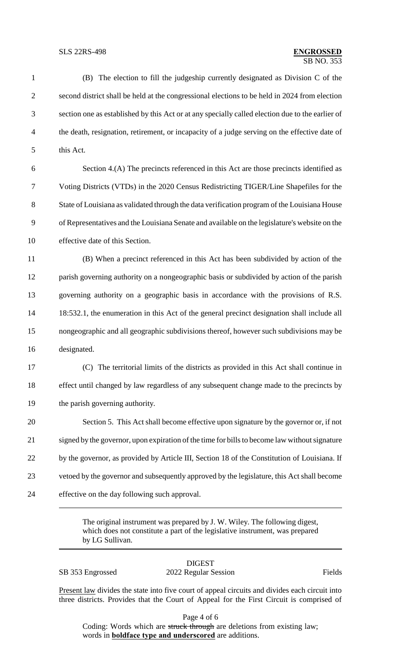1 (B) The election to fill the judgeship currently designated as Division C of the 2 second district shall be held at the congressional elections to be held in 2024 from election 3 section one as established by this Act or at any specially called election due to the earlier of 4 the death, resignation, retirement, or incapacity of a judge serving on the effective date of 5 this Act. 6 Section 4.(A) The precincts referenced in this Act are those precincts identified as 7 Voting Districts (VTDs) in the 2020 Census Redistricting TIGER/Line Shapefiles for the 8 State of Louisiana as validated through the data verification program of the Louisiana House 9 of Representatives and the Louisiana Senate and available on the legislature's website on the 10 effective date of this Section. 11 (B) When a precinct referenced in this Act has been subdivided by action of the 12 parish governing authority on a nongeographic basis or subdivided by action of the parish 13 governing authority on a geographic basis in accordance with the provisions of R.S. 14 18:532.1, the enumeration in this Act of the general precinct designation shall include all 15 nongeographic and all geographic subdivisions thereof, however such subdivisions may be 16 designated. 17 (C) The territorial limits of the districts as provided in this Act shall continue in 18 effect until changed by law regardless of any subsequent change made to the precincts by 19 the parish governing authority. 20 Section 5. This Act shall become effective upon signature by the governor or, if not 21 signed by the governor, upon expiration of the time for bills to become law without signature 22 by the governor, as provided by Article III, Section 18 of the Constitution of Louisiana. If 23 vetoed by the governor and subsequently approved by the legislature, this Act shall become 24 effective on the day following such approval.

> The original instrument was prepared by J. W. Wiley. The following digest, which does not constitute a part of the legislative instrument, was prepared by LG Sullivan.

DIGEST SB 353 Engrossed 2022 Regular Session Fields

Present law divides the state into five court of appeal circuits and divides each circuit into three districts. Provides that the Court of Appeal for the First Circuit is comprised of

Page 4 of 6

Coding: Words which are struck through are deletions from existing law; words in **boldface type and underscored** are additions.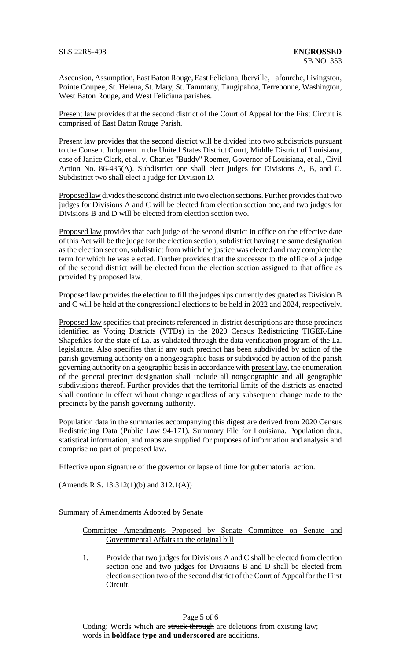Ascension, Assumption, East Baton Rouge, East Feliciana, Iberville, Lafourche, Livingston, Pointe Coupee, St. Helena, St. Mary, St. Tammany, Tangipahoa, Terrebonne, Washington, West Baton Rouge, and West Feliciana parishes.

Present law provides that the second district of the Court of Appeal for the First Circuit is comprised of East Baton Rouge Parish.

Present law provides that the second district will be divided into two subdistricts pursuant to the Consent Judgment in the United States District Court, Middle District of Louisiana, case of Janice Clark, et al. v. Charles "Buddy" Roemer, Governor of Louisiana, et al., Civil Action No. 86-435(A). Subdistrict one shall elect judges for Divisions A, B, and C. Subdistrict two shall elect a judge for Division D.

Proposed law divides the second district into two election sections. Further provides that two judges for Divisions A and C will be elected from election section one, and two judges for Divisions B and D will be elected from election section two.

Proposed law provides that each judge of the second district in office on the effective date of this Act will be the judge for the election section, subdistrict having the same designation as the election section, subdistrict from which the justice was elected and may complete the term for which he was elected. Further provides that the successor to the office of a judge of the second district will be elected from the election section assigned to that office as provided by proposed law.

Proposed law provides the election to fill the judgeships currently designated as Division B and C will be held at the congressional elections to be held in 2022 and 2024, respectively.

Proposed law specifies that precincts referenced in district descriptions are those precincts identified as Voting Districts (VTDs) in the 2020 Census Redistricting TIGER/Line Shapefiles for the state of La. as validated through the data verification program of the La. legislature. Also specifies that if any such precinct has been subdivided by action of the parish governing authority on a nongeographic basis or subdivided by action of the parish governing authority on a geographic basis in accordance with present law, the enumeration of the general precinct designation shall include all nongeographic and all geographic subdivisions thereof. Further provides that the territorial limits of the districts as enacted shall continue in effect without change regardless of any subsequent change made to the precincts by the parish governing authority.

Population data in the summaries accompanying this digest are derived from 2020 Census Redistricting Data (Public Law 94-171), Summary File for Louisiana. Population data, statistical information, and maps are supplied for purposes of information and analysis and comprise no part of proposed law.

Effective upon signature of the governor or lapse of time for gubernatorial action.

(Amends R.S. 13:312(1)(b) and 312.1(A))

Summary of Amendments Adopted by Senate

Committee Amendments Proposed by Senate Committee on Senate and Governmental Affairs to the original bill

1. Provide that two judges for Divisions A and C shall be elected from election section one and two judges for Divisions B and D shall be elected from election section two of the second district of the Court of Appeal for the First Circuit.

Page 5 of 6

Coding: Words which are struck through are deletions from existing law; words in **boldface type and underscored** are additions.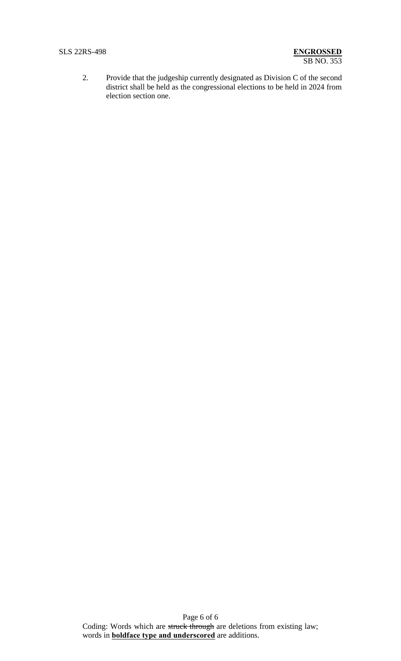2. Provide that the judgeship currently designated as Division C of the second district shall be held as the congressional elections to be held in 2024 from election section one.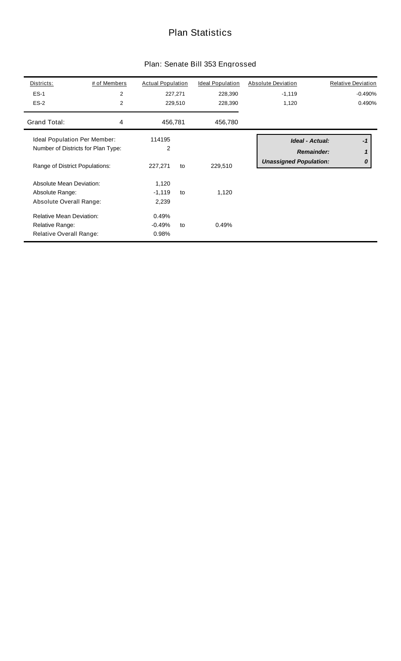## Plan Statistics

| Plan: Senate Bill 353 Engrossed |  |  |
|---------------------------------|--|--|
|---------------------------------|--|--|

| Districts:<br>$ES-1$<br>$ES-2$                                                | # of Members<br>$\overline{c}$<br>2 | <b>Actual Population</b>   | 227,271<br>229,510 | <b>Ideal Population</b><br>228,390<br>228,390 | <b>Absolute Deviation</b><br>$-1,119$<br>1,120                               | <b>Relative Deviation</b><br>$-0.490%$<br>0.490% |
|-------------------------------------------------------------------------------|-------------------------------------|----------------------------|--------------------|-----------------------------------------------|------------------------------------------------------------------------------|--------------------------------------------------|
| Grand Total:                                                                  | 4                                   | 456,781                    |                    | 456,780                                       |                                                                              |                                                  |
| Ideal Population Per Member:<br>Range of District Populations:                | Number of Districts for Plan Type:  | 114195<br>2<br>227,271     | to                 | 229,510                                       | <b>Ideal - Actual:</b><br><b>Remainder:</b><br><b>Unassigned Population:</b> | $-1$<br>1<br>0                                   |
| <b>Absolute Mean Deviation:</b><br>Absolute Range:<br>Absolute Overall Range: |                                     | 1,120<br>$-1,119$<br>2,239 | to                 | 1,120                                         |                                                                              |                                                  |
| <b>Relative Mean Deviation:</b><br>Relative Range:<br>Relative Overall Range: |                                     | 0.49%<br>$-0.49%$<br>0.98% | to                 | 0.49%                                         |                                                                              |                                                  |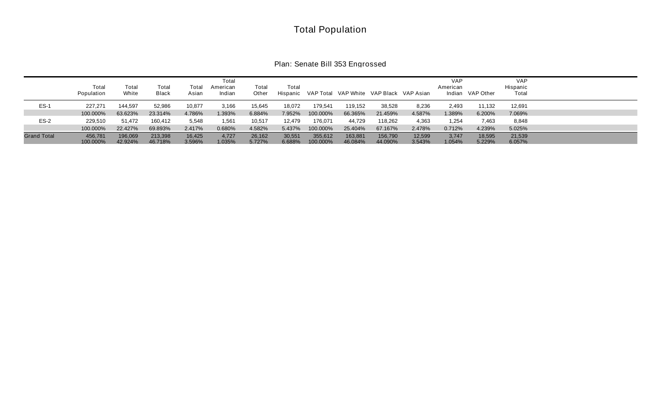# Total Population

| Plan: Senate Bill 353 Engrossed |  |  |  |  |
|---------------------------------|--|--|--|--|
|---------------------------------|--|--|--|--|

|                    | Total<br>Population | Total<br>White     | Total<br>Black     | Total<br>Asian   | Total<br>American<br>Indian | Total<br>Other   | Total<br>Hispanic |                     | VAP Total VAP White VAP Black VAP Asian |                    |                  | <b>VAP</b><br>American | Indian VAP Other | <b>VAP</b><br>Hispanic<br>Total |  |
|--------------------|---------------------|--------------------|--------------------|------------------|-----------------------------|------------------|-------------------|---------------------|-----------------------------------------|--------------------|------------------|------------------------|------------------|---------------------------------|--|
| $ES-1$             | 227,271             | 144,597            | 52,986             | 10,877           | 3,166                       | 15,645           | 18,072            | 179,541             | 119,152                                 | 38,528             | 8,236            | 2,493                  | 11,132           | 12,691                          |  |
|                    | 100.000%            | 63.623%            | 23.314%            | 4.786%           | 1.393%                      | 6.884%           | 7.952%            | 100.000%            | 66.365%                                 | 21.459%            | 4.587%           | 1.389%                 | 6.200%           | 7.069%                          |  |
| $ES-2$             | 229.510             | 51,472             | 160,412            | 5,548            | 1,561                       | 10,517           | 12,479            | 176,071             | 44,729                                  | 118,262            | 4,363            | 1,254                  | 7,463            | 8,848                           |  |
|                    | 100.000%            | 22.427%            | 69.893%            | 2.417%           | 0.680%                      | 4.582%           | 5.437%            | 100.000%            | 25.404%                                 | 67.167%            | 2.478%           | 0.712%                 | 4.239%           | 5.025%                          |  |
| <b>Grand Total</b> | 456.781<br>100.000% | 196,069<br>42.924% | 213,398<br>46.718% | 16,425<br>3.596% | 4,727<br>1.035%             | 26,162<br>5.727% | 30,551<br>6.688%  | 355,612<br>100.000% | 163.881<br>46.084%                      | 156,790<br>44.090% | 12.599<br>3.543% | 3,747<br>1.054%        | 18,595<br>5.229% | 21,539<br>6.057%                |  |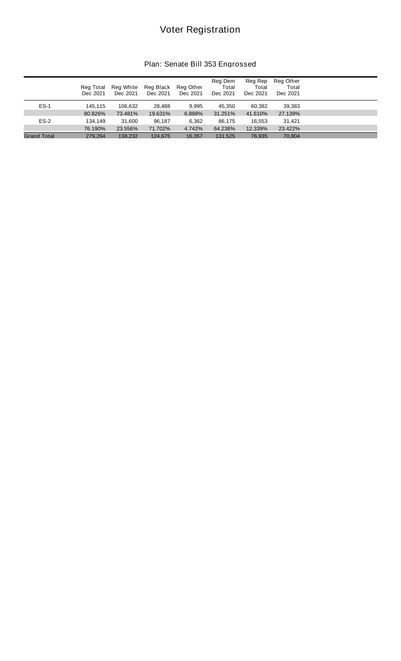# Voter Registration

#### Plan: Senate Bill 353 Engrossed

|                    | Reg Total<br>Dec 2021 | Reg White<br>Dec 2021 | Reg Black<br>Dec 2021 | Reg Other<br>Dec 2021 | Reg Dem<br>Total<br>Dec 2021 | Reg Rep<br>Total<br>Dec 2021 | Reg Other<br>Total<br>Dec 2021 |  |
|--------------------|-----------------------|-----------------------|-----------------------|-----------------------|------------------------------|------------------------------|--------------------------------|--|
| $ES-1$             | 145.115               | 106.632               | 28,488                | 9.995                 | 45.350                       | 60,382                       | 39,383                         |  |
|                    | 80.826%               | 73.481%               | 19.631%               | 6.888%                | 31.251%                      | 41.610%                      | 27.139%                        |  |
| $ES-2$             | 134.149               | 31,600                | 96,187                | 6.362                 | 86,175                       | 16.553                       | 31.421                         |  |
|                    | 76.190%               | 23.556%               | 71.702%               | 4.742%                | 64.238%                      | 12.339%                      | 23.422%                        |  |
| <b>Grand Total</b> | 279.264               | 138.232               | 124.675               | 16,357                | 131.525                      | 76,935                       | 70.804                         |  |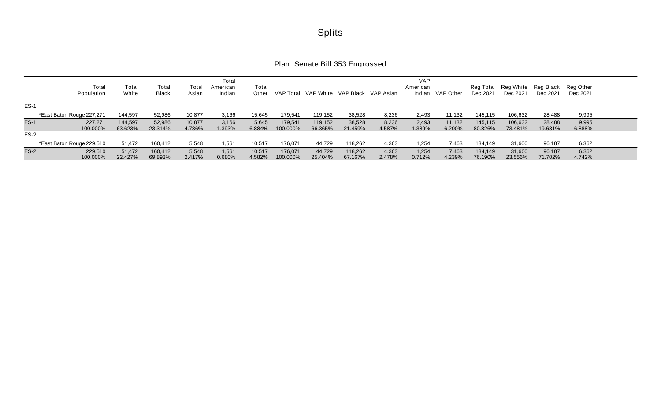|        | Total<br>Population       | Total<br>White     | Total<br>Black     | Total<br>Asian   | Total<br>American<br>Indian | Total<br>Other   | VAP Total           | VAP White VAP Black VAP Asian |                    |                 | <b>VAP</b><br>American<br>Indian | VAP Other        | Dec 2021           | Reg Total Reg White Reg Black Reg Other<br>Dec 2021 | Dec 2021          | Dec 2021        |  |
|--------|---------------------------|--------------------|--------------------|------------------|-----------------------------|------------------|---------------------|-------------------------------|--------------------|-----------------|----------------------------------|------------------|--------------------|-----------------------------------------------------|-------------------|-----------------|--|
| $ES-1$ |                           |                    |                    |                  |                             |                  |                     |                               |                    |                 |                                  |                  |                    |                                                     |                   |                 |  |
|        | *East Baton Rouge 227,271 | 144,597            | 52,986             | 10,877           | 3,166                       | 15,645           | 179,541             | 119,152                       | 38,528             | 8,236           | 2,493                            | 11,132           | 145,115            | 106,632                                             | 28,488            | 9,995           |  |
| $ES-1$ | 227.271<br>100.000%       | 144.597<br>63.623% | 52,986<br>23.314%  | 10,877<br>4.786% | 3,166<br>.393%              | 15,645<br>6.884% | 179.541<br>100.000% | 119.152<br>66.365%            | 38.528<br>21.459%  | 8,236<br>4.587% | 2,493<br>.389%                   | 11,132<br>6.200% | 145.115<br>80.826% | 106,632<br>73.481%                                  | 28,488<br>19.631% | 9,995<br>6.888% |  |
| $ES-2$ |                           |                    |                    |                  |                             |                  |                     |                               |                    |                 |                                  |                  |                    |                                                     |                   |                 |  |
|        | *East Baton Rouge 229,510 | 51,472             | 160,412            | 5,548            | 1,561                       | 10,517           | 176,071             | 44,729                        | 118,262            | 4,363           | 1,254                            | 7,463            | 134,149            | 31,600                                              | 96,187            | 6,362           |  |
| $ES-2$ | 229,510<br>100.000%       | 51,472<br>22.427%  | 160,412<br>69.893% | 5,548<br>2.417%  | 1,561<br>0.680%             | 10,517<br>4.582% | 176,071<br>100.000% | 44,729<br>25.404%             | 118,262<br>67.167% | 4,363<br>2.478% | 1,254<br>0.712%                  | 7,463<br>4.239%  | 134,149<br>76.190% | 31,600<br>23.556%                                   | 96,187<br>71.702% | 6,362<br>4.742% |  |